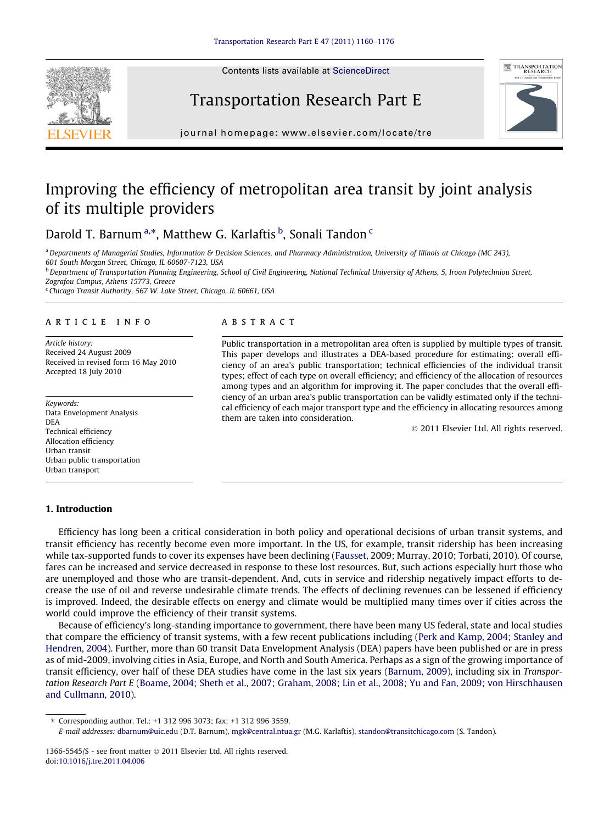Contents lists available at [ScienceDirect](http://www.sciencedirect.com/science/journal/13665545)







journal homepage: [www.elsevier.com/locate/tre](http://www.elsevier.com/locate/tre)

## Improving the efficiency of metropolitan area transit by joint analysis of its multiple providers

Darold T. Barnum<sup>a,\*</sup>, Matthew G. Karlaftis <sup>b</sup>, Sonali Tandon <sup>c</sup>

<sup>a</sup> Departments of Managerial Studies, Information & Decision Sciences, and Pharmacy Administration, University of Illinois at Chicago (MC 243), 601 South Morgan Street, Chicago, IL 60607-7123, USA

<sup>b</sup> Department of Transportation Planning Engineering, School of Civil Engineering, National Technical University of Athens, 5, Iroon Polytechniou Street, Zografou Campus, Athens 15773, Greece

<sup>c</sup> Chicago Transit Authority, 567 W. Lake Street, Chicago, IL 60661, USA

#### article info

Article history: Received 24 August 2009 Received in revised form 16 May 2010 Accepted 18 July 2010

Keywords: Data Envelopment Analysis DEA Technical efficiency Allocation efficiency Urban transit Urban public transportation Urban transport

### 1. Introduction

#### **ABSTRACT**

Public transportation in a metropolitan area often is supplied by multiple types of transit. This paper develops and illustrates a DEA-based procedure for estimating: overall efficiency of an area's public transportation; technical efficiencies of the individual transit types; effect of each type on overall efficiency; and efficiency of the allocation of resources among types and an algorithm for improving it. The paper concludes that the overall efficiency of an urban area's public transportation can be validly estimated only if the technical efficiency of each major transport type and the efficiency in allocating resources among them are taken into consideration.

- 2011 Elsevier Ltd. All rights reserved.

Efficiency has long been a critical consideration in both policy and operational decisions of urban transit systems, and transit efficiency has recently become even more important. In the US, for example, transit ridership has been increasing while tax-supported funds to cover its expenses have been declining [\(Fausset,](#page--1-0) 2009; Murray, 2010; Torbati, 2010). Of course, fares can be increased and service decreased in response to these lost resources. But, such actions especially hurt those who are unemployed and those who are transit-dependent. And, cuts in service and ridership negatively impact efforts to decrease the use of oil and reverse undesirable climate trends. The effects of declining revenues can be lessened if efficiency is improved. Indeed, the desirable effects on energy and climate would be multiplied many times over if cities across the world could improve the efficiency of their transit systems.

Because of efficiency's long-standing importance to government, there have been many US federal, state and local studies that compare the efficiency of transit systems, with a few recent publications including [\(Perk and Kamp, 2004; Stanley and](#page--1-0) [Hendren, 2004\)](#page--1-0). Further, more than 60 transit Data Envelopment Analysis (DEA) papers have been published or are in press as of mid-2009, involving cities in Asia, Europe, and North and South America. Perhaps as a sign of the growing importance of transit efficiency, over half of these DEA studies have come in the last six years ([Barnum, 2009](#page--1-0)), including six in Transportation Research Part E [\(Boame, 2004; Sheth et al., 2007; Graham, 2008; Lin et al., 2008; Yu and Fan, 2009; von Hirschhausen](#page--1-0) [and Cullmann, 2010\)](#page--1-0).

⇑ Corresponding author. Tel.: +1 312 996 3073; fax: +1 312 996 3559. E-mail addresses: [dbarnum@uic.edu](mailto:dbarnum@uic.edu) (D.T. Barnum), [mgk@central.ntua.gr](mailto:mgk@central.ntua.gr) (M.G. Karlaftis), [standon@transitchicago.com](mailto:standon@transitchicago.com) (S. Tandon).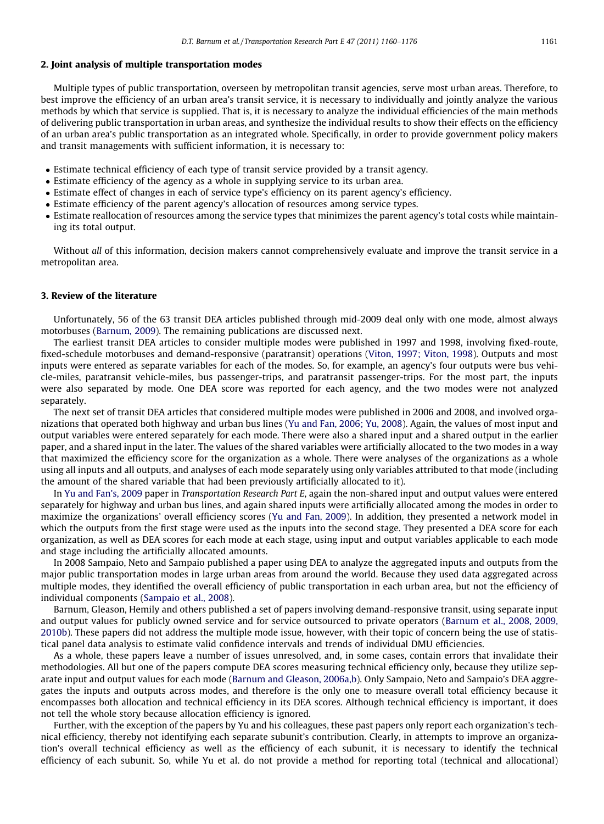#### 2. Joint analysis of multiple transportation modes

Multiple types of public transportation, overseen by metropolitan transit agencies, serve most urban areas. Therefore, to best improve the efficiency of an urban area's transit service, it is necessary to individually and jointly analyze the various methods by which that service is supplied. That is, it is necessary to analyze the individual efficiencies of the main methods of delivering public transportation in urban areas, and synthesize the individual results to show their effects on the efficiency of an urban area's public transportation as an integrated whole. Specifically, in order to provide government policy makers and transit managements with sufficient information, it is necessary to:

- Estimate technical efficiency of each type of transit service provided by a transit agency.
- Estimate efficiency of the agency as a whole in supplying service to its urban area.
- Estimate effect of changes in each of service type's efficiency on its parent agency's efficiency.
- Estimate efficiency of the parent agency's allocation of resources among service types.
- Estimate reallocation of resources among the service types that minimizes the parent agency's total costs while maintaining its total output.

Without all of this information, decision makers cannot comprehensively evaluate and improve the transit service in a metropolitan area.

#### 3. Review of the literature

Unfortunately, 56 of the 63 transit DEA articles published through mid-2009 deal only with one mode, almost always motorbuses ([Barnum, 2009](#page--1-0)). The remaining publications are discussed next.

The earliest transit DEA articles to consider multiple modes were published in 1997 and 1998, involving fixed-route, fixed-schedule motorbuses and demand-responsive (paratransit) operations [\(Viton, 1997; Viton, 1998\)](#page--1-0). Outputs and most inputs were entered as separate variables for each of the modes. So, for example, an agency's four outputs were bus vehicle-miles, paratransit vehicle-miles, bus passenger-trips, and paratransit passenger-trips. For the most part, the inputs were also separated by mode. One DEA score was reported for each agency, and the two modes were not analyzed separately.

The next set of transit DEA articles that considered multiple modes were published in 2006 and 2008, and involved organizations that operated both highway and urban bus lines [\(Yu and Fan, 2006; Yu, 2008\)](#page--1-0). Again, the values of most input and output variables were entered separately for each mode. There were also a shared input and a shared output in the earlier paper, and a shared input in the later. The values of the shared variables were artificially allocated to the two modes in a way that maximized the efficiency score for the organization as a whole. There were analyses of the organizations as a whole using all inputs and all outputs, and analyses of each mode separately using only variables attributed to that mode (including the amount of the shared variable that had been previously artificially allocated to it).

In [Yu and Fan's, 2009](#page--1-0) paper in Transportation Research Part E, again the non-shared input and output values were entered separately for highway and urban bus lines, and again shared inputs were artificially allocated among the modes in order to maximize the organizations' overall efficiency scores [\(Yu and Fan, 2009](#page--1-0)). In addition, they presented a network model in which the outputs from the first stage were used as the inputs into the second stage. They presented a DEA score for each organization, as well as DEA scores for each mode at each stage, using input and output variables applicable to each mode and stage including the artificially allocated amounts.

In 2008 Sampaio, Neto and Sampaio published a paper using DEA to analyze the aggregated inputs and outputs from the major public transportation modes in large urban areas from around the world. Because they used data aggregated across multiple modes, they identified the overall efficiency of public transportation in each urban area, but not the efficiency of individual components ([Sampaio et al., 2008\)](#page--1-0).

Barnum, Gleason, Hemily and others published a set of papers involving demand-responsive transit, using separate input and output values for publicly owned service and for service outsourced to private operators ([Barnum et al., 2008, 2009,](#page--1-0) [2010b](#page--1-0)). These papers did not address the multiple mode issue, however, with their topic of concern being the use of statistical panel data analysis to estimate valid confidence intervals and trends of individual DMU efficiencies.

As a whole, these papers leave a number of issues unresolved, and, in some cases, contain errors that invalidate their methodologies. All but one of the papers compute DEA scores measuring technical efficiency only, because they utilize separate input and output values for each mode [\(Barnum and Gleason, 2006a,b\)](#page--1-0). Only Sampaio, Neto and Sampaio's DEA aggregates the inputs and outputs across modes, and therefore is the only one to measure overall total efficiency because it encompasses both allocation and technical efficiency in its DEA scores. Although technical efficiency is important, it does not tell the whole story because allocation efficiency is ignored.

Further, with the exception of the papers by Yu and his colleagues, these past papers only report each organization's technical efficiency, thereby not identifying each separate subunit's contribution. Clearly, in attempts to improve an organization's overall technical efficiency as well as the efficiency of each subunit, it is necessary to identify the technical efficiency of each subunit. So, while Yu et al. do not provide a method for reporting total (technical and allocational)